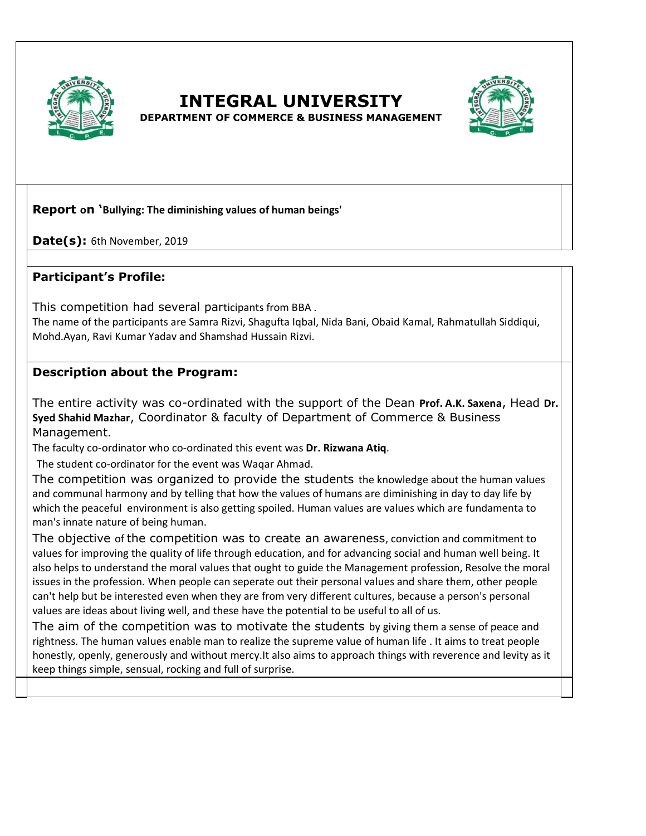

# **INTEGRAL UNIVERSITY**



**DEPARTMENT OF COMMERCE & BUSINESS MANAGEMENT** 

### **Report on 'Bullying: The diminishing values of human beings'**

**Date(s):** 6th November, 2019

### **Participant's Profile:**

This competition had several participants from BBA .

The name of the participants are Samra Rizvi, Shagufta Iqbal, Nida Bani, Obaid Kamal, Rahmatullah Siddiqui, Mohd.Ayan, Ravi Kumar Yadav and Shamshad Hussain Rizvi.

### **Description about the Program:**

The entire activity was co-ordinated with the support of the Dean **Prof. A.K. Saxena**, Head **Dr. Syed Shahid Mazhar**, Coordinator & faculty of Department of Commerce & Business Management.

The faculty co-ordinator who co-ordinated this event was **Dr. Rizwana Atiq**.

The student co-ordinator for the event was Waqar Ahmad.

The competition was organized to provide the students the knowledge about the human values and communal harmony and by telling that how the values of humans are diminishing in day to day life by which the peaceful environment is also getting spoiled. Human values are values which are fundamenta to man's innate nature of being human.

The objective of the competition was to create an awareness, conviction and commitment to values for improving the quality of life through education, and for advancing social and human well being. It also helps to understand the moral values that ought to guide the Management profession, Resolve the moral issues in the profession. When people can seperate out their personal values and share them, other people can't help but be interested even when they are from very different cultures, because a person's personal values are ideas about living well, and these have the potential to be useful to all of us.

The aim of the competition was to motivate the students by giving them a sense of peace and rightness. The human values enable man to realize the supreme value of human life . It aims to treat people honestly, openly, generously and without mercy.It also aims to approach things with reverence and levity as it keep things simple, sensual, rocking and full of surprise.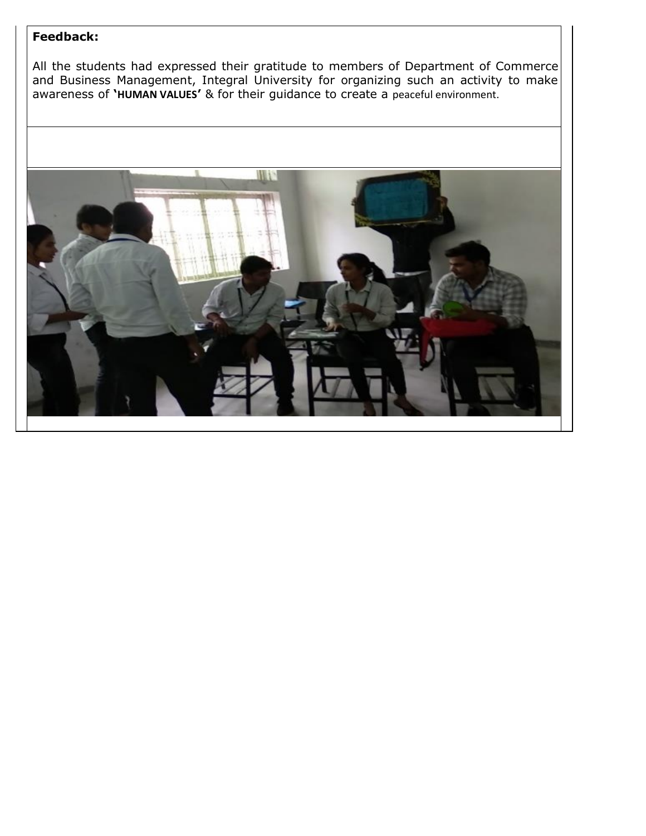## **Feedback:**

All the students had expressed their gratitude to members of Department of Commerce and Business Management, Integral University for organizing such an activity to make awareness of **'HUMAN VALUES'** & for their guidance to create a peaceful environment.